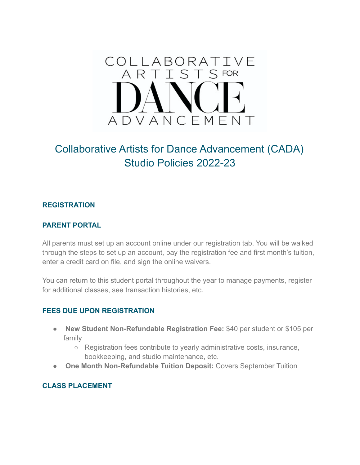# COLLABORATIVE S FOR  $\varsigma$ A R ADVANCEMENT

# Collaborative Artists for Dance Advancement (CADA) Studio Policies 2022-23

# **REGISTRATION**

#### **PARENT PORTAL**

All parents must set up an account online under our registration tab. You will be walked through the steps to set up an account, pay the registration fee and first month's tuition, enter a credit card on file, and sign the online waivers.

You can return to this student portal throughout the year to manage payments, register for additional classes, see transaction histories, etc.

#### **FEES DUE UPON REGISTRATION**

- **New Student Non-Refundable Registration Fee:** \$40 per student or \$105 per family
	- Registration fees contribute to yearly administrative costs, insurance, bookkeeping, and studio maintenance, etc.
- **One Month Non-Refundable Tuition Deposit: Covers September Tuition**

#### **CLASS PLACEMENT**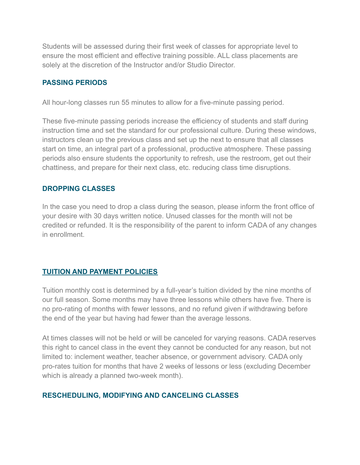Students will be assessed during their first week of classes for appropriate level to ensure the most efficient and effective training possible. ALL class placements are solely at the discretion of the Instructor and/or Studio Director.

#### **PASSING PERIODS**

All hour-long classes run 55 minutes to allow for a five-minute passing period.

These five-minute passing periods increase the efficiency of students and staff during instruction time and set the standard for our professional culture. During these windows, instructors clean up the previous class and set up the next to ensure that all classes start on time, an integral part of a professional, productive atmosphere. These passing periods also ensure students the opportunity to refresh, use the restroom, get out their chattiness, and prepare for their next class, etc. reducing class time disruptions.

# **DROPPING CLASSES**

In the case you need to drop a class during the season, please inform the front office of your desire with 30 days written notice. Unused classes for the month will not be credited or refunded. It is the responsibility of the parent to inform CADA of any changes in enrollment.

#### **TUITION AND PAYMENT POLICIES**

Tuition monthly cost is determined by a full-year's tuition divided by the nine months of our full season. Some months may have three lessons while others have five. There is no pro-rating of months with fewer lessons, and no refund given if withdrawing before the end of the year but having had fewer than the average lessons.

At times classes will not be held or will be canceled for varying reasons. CADA reserves this right to cancel class in the event they cannot be conducted for any reason, but not limited to: inclement weather, teacher absence, or government advisory. CADA only pro-rates tuition for months that have 2 weeks of lessons or less (excluding December which is already a planned two-week month).

# **RESCHEDULING, MODIFYING AND CANCELING CLASSES**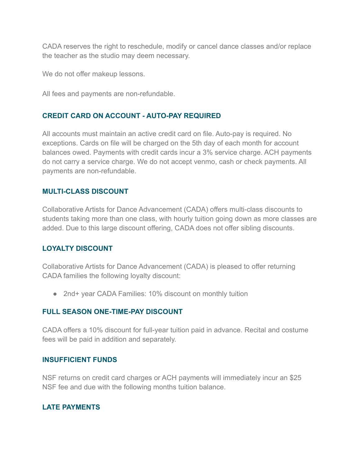CADA reserves the right to reschedule, modify or cancel dance classes and/or replace the teacher as the studio may deem necessary.

We do not offer makeup lessons.

All fees and payments are non-refundable.

# **CREDIT CARD ON ACCOUNT - AUTO-PAY REQUIRED**

All accounts must maintain an active credit card on file. Auto-pay is required. No exceptions. Cards on file will be charged on the 5th day of each month for account balances owed. Payments with credit cards incur a 3% service charge. ACH payments do not carry a service charge. We do not accept venmo, cash or check payments. All payments are non-refundable.

# **MULTI-CLASS DISCOUNT**

Collaborative Artists for Dance Advancement (CADA) offers multi-class discounts to students taking more than one class, with hourly tuition going down as more classes are added. Due to this large discount offering, CADA does not offer sibling discounts.

#### **LOYALTY DISCOUNT**

Collaborative Artists for Dance Advancement (CADA) is pleased to offer returning CADA families the following loyalty discount:

● 2nd+ year CADA Families: 10% discount on monthly tuition

#### **FULL SEASON ONE-TIME-PAY DISCOUNT**

CADA offers a 10% discount for full-year tuition paid in advance. Recital and costume fees will be paid in addition and separately.

#### **INSUFFICIENT FUNDS**

NSF returns on credit card charges or ACH payments will immediately incur an \$25 NSF fee and due with the following months tuition balance.

#### **LATE PAYMENTS**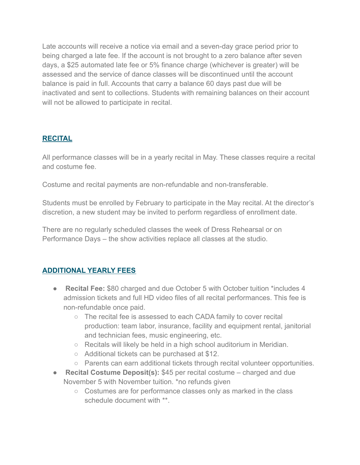Late accounts will receive a notice via email and a seven-day grace period prior to being charged a late fee. If the account is not brought to a zero balance after seven days, a \$25 automated late fee or 5% finance charge (whichever is greater) will be assessed and the service of dance classes will be discontinued until the account balance is paid in full. Accounts that carry a balance 60 days past due will be inactivated and sent to collections. Students with remaining balances on their account will not be allowed to participate in recital.

# **RECITAL**

All performance classes will be in a yearly recital in May. These classes require a recital and costume fee.

Costume and recital payments are non-refundable and non-transferable.

Students must be enrolled by February to participate in the May recital. At the director's discretion, a new student may be invited to perform regardless of enrollment date.

There are no regularly scheduled classes the week of Dress Rehearsal or on Performance Days – the show activities replace all classes at the studio.

#### **ADDITIONAL YEARLY FEES**

- **Recital Fee:** \$80 charged and due October 5 with October tuition \*includes 4 admission tickets and full HD video files of all recital performances. This fee is non-refundable once paid.
	- The recital fee is assessed to each CADA family to cover recital production: team labor, insurance, facility and equipment rental, janitorial and technician fees, music engineering, etc.
	- Recitals will likely be held in a high school auditorium in Meridian.
	- Additional tickets can be purchased at \$12.
	- Parents can earn additional tickets through recital volunteer opportunities.
- **Recital Costume Deposit(s):** \$45 per recital costume charged and due November 5 with November tuition. \*no refunds given
	- Costumes are for performance classes only as marked in the class schedule document with \*\*.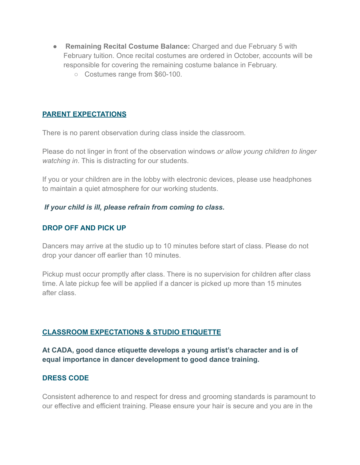- **Remaining Recital Costume Balance:** Charged and due February 5 with February tuition. Once recital costumes are ordered in October, accounts will be responsible for covering the remaining costume balance in February.
	- Costumes range from \$60-100.

#### **PARENT EXPECTATIONS**

There is no parent observation during class inside the classroom.

Please do not linger in front of the observation windows *or allow young children to linger watching in*. This is distracting for our students.

If you or your children are in the lobby with electronic devices, please use headphones to maintain a quiet atmosphere for our working students.

#### *If your child is ill, please refrain from coming to class.*

#### **DROP OFF AND PICK UP**

Dancers may arrive at the studio up to 10 minutes before start of class. Please do not drop your dancer off earlier than 10 minutes.

Pickup must occur promptly after class. There is no supervision for children after class time. A late pickup fee will be applied if a dancer is picked up more than 15 minutes after class.

# **CLASSROOM EXPECTATIONS & STUDIO ETIQUETTE**

# **At CADA, good dance etiquette develops a young artist's character and is of equal importance in dancer development to good dance training.**

#### **DRESS CODE**

Consistent adherence to and respect for dress and grooming standards is paramount to our effective and efficient training. Please ensure your hair is secure and you are in the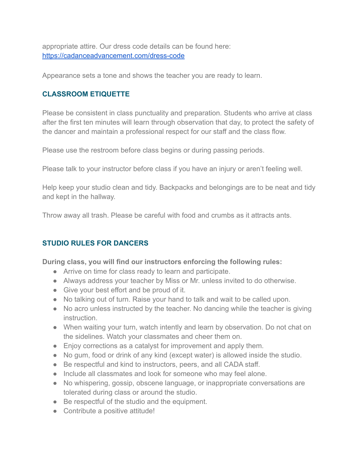appropriate attire. Our dress code details can be found here: <https://cadanceadvancement.com/dress-code>

Appearance sets a tone and shows the teacher you are ready to learn.

# **CLASSROOM ETIQUETTE**

Please be consistent in class punctuality and preparation. Students who arrive at class after the first ten minutes will learn through observation that day, to protect the safety of the dancer and maintain a professional respect for our staff and the class flow.

Please use the restroom before class begins or during passing periods.

Please talk to your instructor before class if you have an injury or aren't feeling well.

Help keep your studio clean and tidy. Backpacks and belongings are to be neat and tidy and kept in the hallway.

Throw away all trash. Please be careful with food and crumbs as it attracts ants.

# **STUDIO RULES FOR DANCERS**

**During class, you will find our instructors enforcing the following rules:**

- Arrive on time for class ready to learn and participate.
- Always address your teacher by Miss or Mr. unless invited to do otherwise.
- Give your best effort and be proud of it.
- No talking out of turn. Raise your hand to talk and wait to be called upon.
- No acro unless instructed by the teacher. No dancing while the teacher is giving instruction.
- When waiting your turn, watch intently and learn by observation. Do not chat on the sidelines. Watch your classmates and cheer them on.
- Enjoy corrections as a catalyst for improvement and apply them.
- No gum, food or drink of any kind (except water) is allowed inside the studio.
- Be respectful and kind to instructors, peers, and all CADA staff.
- Include all classmates and look for someone who may feel alone.
- No whispering, gossip, obscene language, or inappropriate conversations are tolerated during class or around the studio.
- Be respectful of the studio and the equipment.
- Contribute a positive attitude!